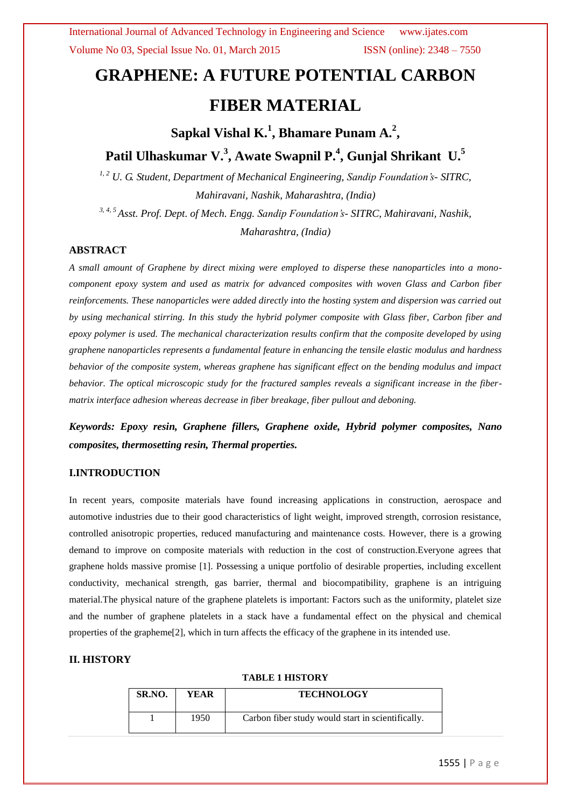# **GRAPHENE: A FUTURE POTENTIAL CARBON FIBER MATERIAL**

# Sapkal Vishal K.<sup>1</sup>, Bhamare Punam A.<sup>2</sup>,

## **Patil Ulhaskumar V.<sup>3</sup> , Awate Swapnil P.<sup>4</sup> , Gunjal Shrikant U.<sup>5</sup>**

*1, 2 U. G. Student, Department of Mechanical Engineering, Sandip Foundation's- SITRC, Mahiravani, Nashik, Maharashtra, (India)*

*3, 4, 5 Asst. Prof. Dept. of Mech. Engg. Sandip Foundation's- SITRC, Mahiravani, Nashik, Maharashtra, (India)*

#### **ABSTRACT**

*A small amount of Graphene by direct mixing were employed to disperse these nanoparticles into a monocomponent epoxy system and used as matrix for advanced composites with woven Glass and Carbon fiber reinforcements. These nanoparticles were added directly into the hosting system and dispersion was carried out by using mechanical stirring. In this study the hybrid polymer composite with Glass fiber, Carbon fiber and epoxy polymer is used. The mechanical characterization results confirm that the composite developed by using graphene nanoparticles represents a fundamental feature in enhancing the tensile elastic modulus and hardness behavior of the composite system, whereas graphene has significant effect on the bending modulus and impact behavior. The optical microscopic study for the fractured samples reveals a significant increase in the fibermatrix interface adhesion whereas decrease in fiber breakage, fiber pullout and deboning.*

*Keywords: Epoxy resin, Graphene fillers, Graphene oxide, Hybrid polymer composites, Nano composites, thermosetting resin, Thermal properties.*

#### **I.INTRODUCTION**

In recent years, composite materials have found increasing applications in construction, aerospace and automotive industries due to their good characteristics of light weight, improved strength, corrosion resistance, controlled anisotropic properties, reduced manufacturing and maintenance costs. However, there is a growing demand to improve on composite materials with reduction in the cost of construction.Everyone agrees that graphene holds massive promise [1]. Possessing a unique portfolio of desirable properties, including excellent conductivity, mechanical strength, gas barrier, thermal and biocompatibility, graphene is an intriguing material.The physical nature of the graphene platelets is important: Factors such as the uniformity, platelet size and the number of graphene platelets in a stack have a fundamental effect on the physical and chemical properties of the grapheme[2], which in turn affects the efficacy of the graphene in its intended use.

#### **II. HISTORY**

#### **TABLE 1 HISTORY**

| SR.NO. | YEAR | <b>TECHNOLOGY</b>                                 |
|--------|------|---------------------------------------------------|
|        | 1950 | Carbon fiber study would start in scientifically. |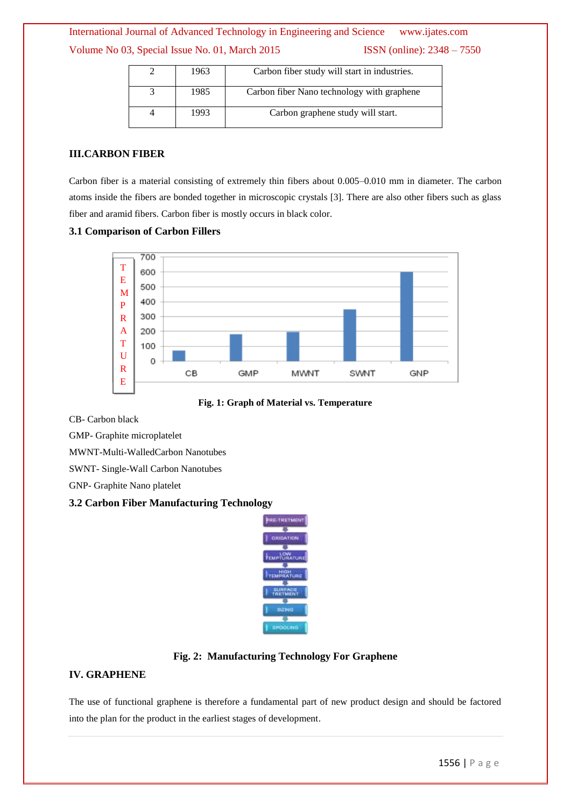International Journal of Advanced Technology in Engineering and Science www.ijates.com Volume No 03, Special Issue No. 01, March 2015 ISSN (online): 2348 – 7550

| 1963 | Carbon fiber study will start in industries. |
|------|----------------------------------------------|
| 1985 | Carbon fiber Nano technology with graphene   |
| 1993 | Carbon graphene study will start.            |

#### **III.CARBON FIBER**

Carbon fiber is a material consisting of extremely thin fibers about 0.005–0.010 mm in diameter. The carbon atoms inside the fibers are bonded together in microscopic crystals [3]. There are also other fibers such as glass fiber and aramid fibers. Carbon fiber is mostly occurs in black color.

#### **3.1 Comparison of Carbon Fillers**



**Fig. 1: Graph of Material vs. Temperature**

CB- Carbon black

GMP- Graphite microplatelet

MWNT-Multi-WalledCarbon Nanotubes

SWNT- Single-Wall Carbon Nanotubes

GNP- Graphite Nano platelet

#### **3.2 Carbon Fiber Manufacturing Technology**



#### **Fig. 2: Manufacturing Technology For Graphene**

#### **IV. GRAPHENE**

The use of functional graphene is therefore a fundamental part of new product design and should be factored into the plan for the product in the earliest stages of development.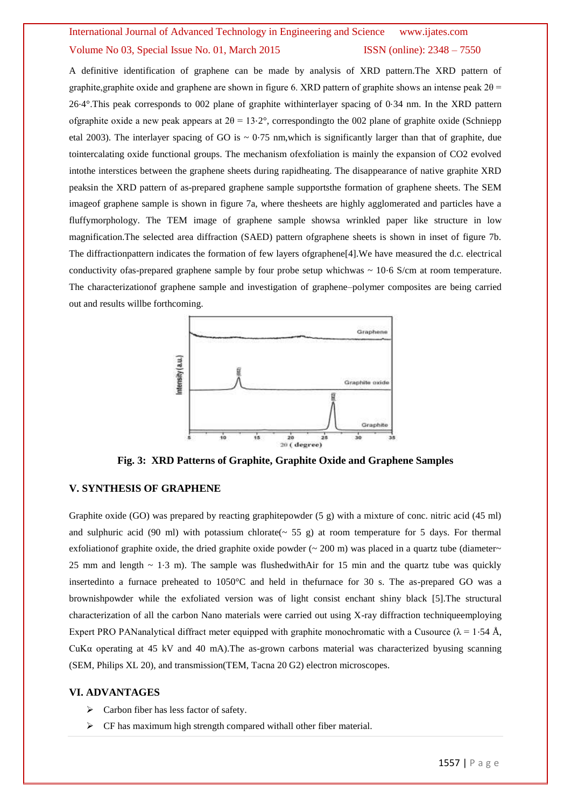### International Journal of Advanced Technology in Engineering and Science www.ijates.com Volume No 03, Special Issue No. 01, March 2015 ISSN (online): 2348 – 7550

A definitive identification of graphene can be made by analysis of XRD pattern.The XRD pattern of graphite, graphite oxide and graphene are shown in figure 6. XRD pattern of graphite shows an intense peak  $2\theta$  = 26⋅4°.This peak corresponds to 002 plane of graphite withinterlayer spacing of 0⋅34 nm. In the XRD pattern ofgraphite oxide a new peak appears at 2θ = 13⋅2°, correspondingto the 002 plane of graphite oxide (Schniepp etal 2003). The interlayer spacing of GO is  $\sim 0.75$  nm, which is significantly larger than that of graphite, due tointercalating oxide functional groups. The mechanism ofexfoliation is mainly the expansion of CO2 evolved intothe interstices between the graphene sheets during rapidheating. The disappearance of native graphite XRD peaksin the XRD pattern of as-prepared graphene sample supportsthe formation of graphene sheets. The SEM imageof graphene sample is shown in figure 7a, where thesheets are highly agglomerated and particles have a fluffymorphology. The TEM image of graphene sample showsa wrinkled paper like structure in low magnification.The selected area diffraction (SAED) pattern ofgraphene sheets is shown in inset of figure 7b. The diffractionpattern indicates the formation of few layers ofgraphene[4].We have measured the d.c. electrical conductivity ofas-prepared graphene sample by four probe setup whichwas ~ 10⋅6 S/cm at room temperature. The characterizationof graphene sample and investigation of graphene–polymer composites are being carried out and results willbe forthcoming.



**Fig. 3: XRD Patterns of Graphite, Graphite Oxide and Graphene Samples**

#### **V. SYNTHESIS OF GRAPHENE**

Graphite oxide (GO) was prepared by reacting graphitepowder (5 g) with a mixture of conc. nitric acid (45 ml) and sulphuric acid (90 ml) with potassium chlorate( $\sim$  55 g) at room temperature for 5 days. For thermal exfoliationof graphite oxide, the dried graphite oxide powder ( $\sim$  200 m) was placed in a quartz tube (diameter $\sim$ 25 mm and length  $\sim$  1⋅3 m). The sample was flushedwithAir for 15 min and the quartz tube was quickly insertedinto a furnace preheated to 1050°C and held in thefurnace for 30 s. The as-prepared GO was a brownishpowder while the exfoliated version was of light consist enchant shiny black [5].The structural characterization of all the carbon Nano materials were carried out using X-ray diffraction techniqueemploying Expert PRO PANanalytical diffract meter equipped with graphite monochromatic with a Cusource ( $\lambda = 1.54$  Å, CuK $\alpha$  operating at 45 kV and 40 mA). The as-grown carbons material was characterized byusing scanning (SEM, Philips XL 20), and transmission(TEM, Tacna 20 G2) electron microscopes.

#### **VI. ADVANTAGES**

- $\triangleright$  Carbon fiber has less factor of safety.
- $\triangleright$  CF has maximum high strength compared withall other fiber material.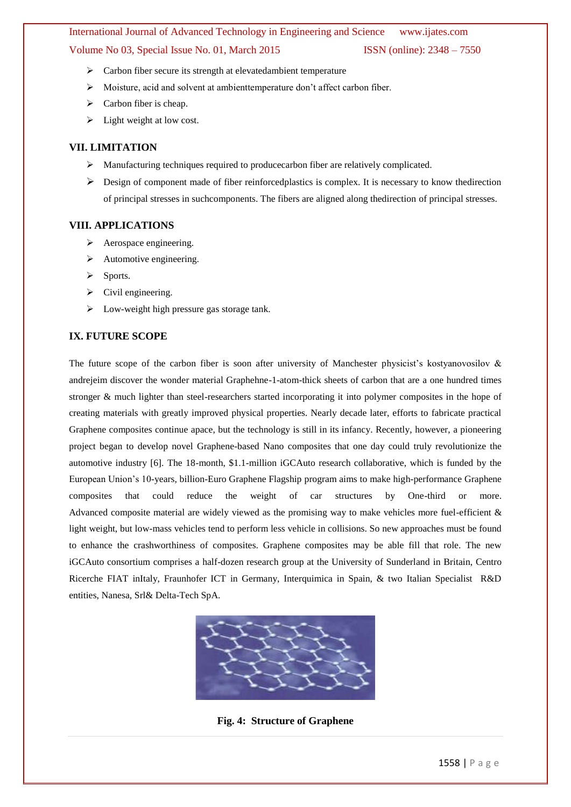# International Journal of Advanced Technology in Engineering and Science www.ijates.com

#### Volume No 03, Special Issue No. 01, March 2015 ISSN (online): 2348 – 7550

- Carbon fiber secure its strength at elevatedambient temperature
- Moisture, acid and solvent at ambienttemperature don't affect carbon fiber.
- $\triangleright$  Carbon fiber is cheap.
- $\triangleright$  Light weight at low cost.

#### **VII. LIMITATION**

- Manufacturing techniques required to producecarbon fiber are relatively complicated.
- $\triangleright$  Design of component made of fiber reinforcedplastics is complex. It is necessary to know thedirection of principal stresses in suchcomponents. The fibers are aligned along thedirection of principal stresses.

#### **VIII. APPLICATIONS**

- $\triangleright$  Aerospace engineering.
- $\triangleright$  Automotive engineering.
- $\triangleright$  Sports.
- $\triangleright$  Civil engineering.
- > Low-weight high pressure gas storage tank.

#### **IX. FUTURE SCOPE**

The future scope of the carbon fiber is soon after university of Manchester physicist's kostyanovosilov  $\&$ andrejeim discover the wonder material Graphehne-1-atom-thick sheets of carbon that are a one hundred times stronger & much lighter than steel-researchers started incorporating it into polymer composites in the hope of creating materials with greatly improved physical properties. Nearly decade later, efforts to fabricate practical Graphene composites continue apace, but the technology is still in its infancy. Recently, however, a pioneering project began to develop novel Graphene-based Nano composites that one day could truly revolutionize the automotive industry [6]. The 18-month, \$1.1-million iGCAuto research collaborative, which is funded by the European Union's 10-years, billion-Euro Graphene Flagship program aims to make high-performance Graphene composites that could reduce the weight of car structures by One-third or more. Advanced composite material are widely viewed as the promising way to make vehicles more fuel-efficient & light weight, but low-mass vehicles tend to perform less vehicle in collisions. So new approaches must be found to enhance the crashworthiness of composites. Graphene composites may be able fill that role. The new iGCAuto consortium comprises a half-dozen research group at the University of Sunderland in Britain, Centro Ricerche FIAT inItaly, Fraunhofer ICT in Germany, Interquimica in Spain, & two Italian Specialist R&D entities, Nanesa, Srl& Delta-Tech SpA.



**Fig. 4: Structure of Graphene**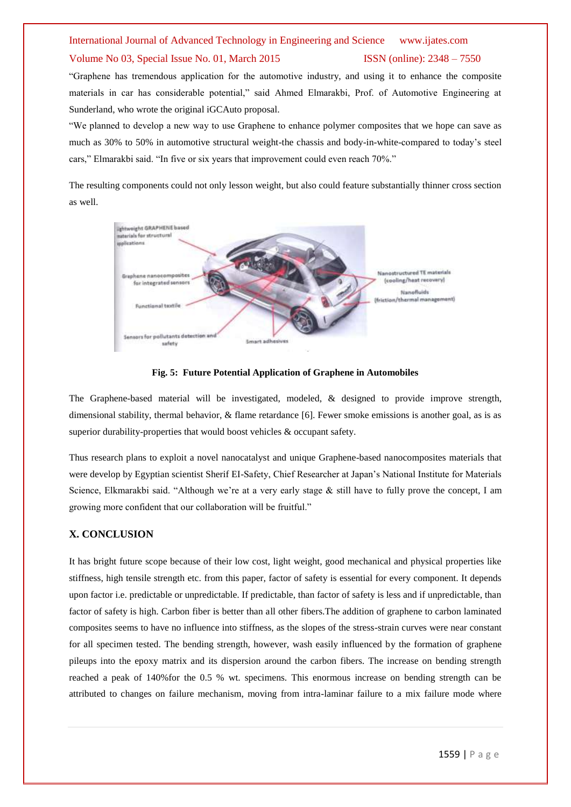# International Journal of Advanced Technology in Engineering and Science www.ijates.com

#### Volume No 03, Special Issue No. 01, March 2015 ISSN (online): 2348 – 7550

―Graphene has tremendous application for the automotive industry, and using it to enhance the composite materials in car has considerable potential," said Ahmed Elmarakbi, Prof. of Automotive Engineering at Sunderland, who wrote the original iGCAuto proposal.

―We planned to develop a new way to use Graphene to enhance polymer composites that we hope can save as much as 30% to 50% in automotive structural weight-the chassis and body-in-white-compared to today's steel cars," Elmarakbi said. "In five or six years that improvement could even reach 70%."

The resulting components could not only lesson weight, but also could feature substantially thinner cross section as well.



**Fig. 5: Future Potential Application of Graphene in Automobiles**

The Graphene-based material will be investigated, modeled, & designed to provide improve strength, dimensional stability, thermal behavior, & flame retardance [6]. Fewer smoke emissions is another goal, as is as superior durability-properties that would boost vehicles & occupant safety.

Thus research plans to exploit a novel nanocatalyst and unique Graphene-based nanocomposites materials that were develop by Egyptian scientist Sherif EI-Safety, Chief Researcher at Japan's National Institute for Materials Science, Elkmarakbi said. "Although we're at a very early stage  $\&$  still have to fully prove the concept, I am growing more confident that our collaboration will be fruitful."

#### **X. CONCLUSION**

It has bright future scope because of their low cost, light weight, good mechanical and physical properties like stiffness, high tensile strength etc. from this paper, factor of safety is essential for every component. It depends upon factor i.e. predictable or unpredictable. If predictable, than factor of safety is less and if unpredictable, than factor of safety is high. Carbon fiber is better than all other fibers.The addition of graphene to carbon laminated composites seems to have no influence into stiffness, as the slopes of the stress-strain curves were near constant for all specimen tested. The bending strength, however, wash easily influenced by the formation of graphene pileups into the epoxy matrix and its dispersion around the carbon fibers. The increase on bending strength reached a peak of 140%for the 0.5 % wt. specimens. This enormous increase on bending strength can be attributed to changes on failure mechanism, moving from intra-laminar failure to a mix failure mode where